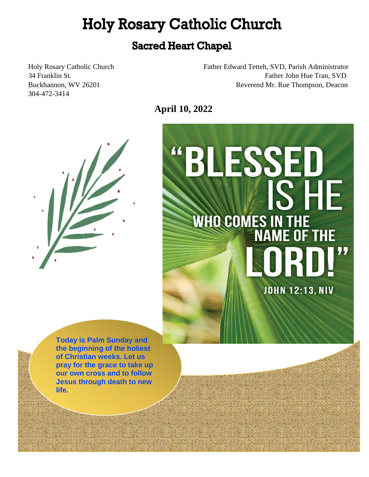# **Holy Rosary Catholic Church**

## **Sacred Heart Chapel**

304-472-3414

Holy Rosary Catholic Church Father Edward Tetteh, SVD, Parish Administrator 34 Franklin St. Father John Hue Tran, SVD Buckhannon, WV 26201 Reverend Mr. Rue Thompson, Deacon

**April 10, 2022** 





a. 特别维

科尔特 - 中国語 おおいく

计互联 i i

 **Today is Palm Sunday and the beginning of the holiest of Christian weeks. Let us pray for the grace to take up Jesus through death to new our own cross and to follow life.** 

计可转换

í

Ì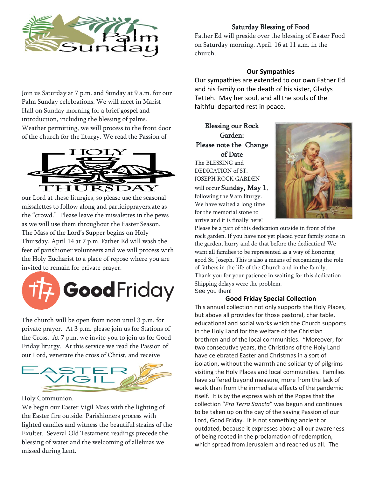

## Saturday Blessing of Food

Father Ed will preside over the blessing of Easter Food on Saturday morning, April. 16 at 11 a.m. in the church.

### **Our Sympathies**

Our sympathies are extended to our own Father Ed and his family on the death of his sister, Gladys Tetteh. May her soul, and all the souls of the faithful departed rest in peace.

## Blessing our Rock Garden: Please note the Change of Date

The BLESSING and DEDICATION of ST. JOSEPH ROCK GARDEN

will occur Sunday, May 1, following the 9 am liturgy. We have waited a long time for the memorial stone to arrive and it is finally here!



Please be a part of this dedication outside in front of the rock garden. If you have not yet placed your family stone in the garden, hurry and do that before the dedication! We want all families to be represented as a way of honoring good St. Joseph. This is also a means of recognizing the role of fathers in the life of the Church and in the family. Thank you for your patience in waiting for this dedication. Shipping delays were the problem. See you then!

#### **Good Friday Special Collection**

This annual collection not only supports the Holy Places, but above all provides for those pastoral, charitable, educational and social works which the Church supports in the Holy Land for the welfare of the Christian brethren and of the local communities. "Moreover, for two consecutive years, the Christians of the Holy Land have celebrated Easter and Christmas in a sort of isolation, without the warmth and solidarity of pilgrims visiting the Holy Places and local communities. Families have suffered beyond measure, more from the lack of work than from the immediate effects of the pandemic itself. It is by the express wish of the Popes that the collection "*Pro Terra Sancta*" was begun and continues to be taken up on the day of the saving Passion of our Lord, Good Friday. It is not something ancient or outdated, because it expresses above all our awareness of being rooted in the proclamation of redemption, which spread from Jerusalem and reached us all. The

Join us Saturday at 7 p.m. and Sunday at 9 a.m. for our Palm Sunday celebrations. We will meet in Marist Hall on Sunday morning for a brief gospel and introduction, including the blessing of palms. Weather permitting, we will process to the front door of the church for the liturgy. We read the Passion of



our Lord at these liturgies, so please use the seasonal missalettes to follow along and participprayers.ate as the "crowd." Please leave the missalettes in the pews as we will use them throughout the Easter Season. The Mass of the Lord's Supper begins on Holy Thursday, April 14 at 7 p.m. Father Ed will wash the feet of parishioner volunteers and we will process with the Holy Eucharist to a place of repose where you are invited to remain for private prayer.



The church will be open from noon until 3 p.m. for private prayer. At 3 p.m. please join us for Stations of the Cross. At 7 p.m. we invite you to join us for Good Friday liturgy. At this service we read the Passion of our Lord, venerate the cross of Christ, and receive



Holy Communion.

We begin our Easter Vigil Mass with the lighting of the Easter fire outside. Parishioners process with lighted candles and witness the beautiful strains of the Exultet. Several Old Testament readings precede the blessing of water and the welcoming of alleluias we missed during Lent.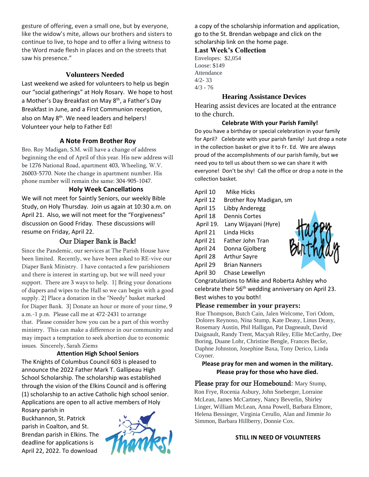gesture of offering, even a small one, but by everyone, like the widow's mite, allows our brothers and sisters to continue to live, to hope and to offer a living witness to the Word made flesh in places and on the streets that saw his presence."

### **Volunteers Needed**

Last weekend we asked for volunteers to help us begin our "social gatherings" at Holy Rosary. We hope to host a Mother's Day Breakfast on May 8<sup>th</sup>, a Father's Day Breakfast in June, and a First Communion reception, also on May 8<sup>th</sup>. We need leaders and helpers! Volunteer your help to Father Ed!

#### **A Note From Brother Roy**

Bro. Roy Madigan, S.M. will have a change of address beginning the end of April of this year. His new address will be 1276 National Road, apartment 403, Wheeling, W.V. 26003-5770. Note the change in apartment number. His phone number will remain the same: 304-905-1047.

#### **Holy Week Cancellations**

We will not meet for Saintly Seniors, our weekly Bible Study, on Holy Thursday. Join us again at 10:30 a.m. on April 21. Also, we will not meet for the "Forgiveness" discussion on Good Friday. These discussions will resume on Friday, April 22.

#### Our Diaper Bank is Back!

Since the Pandemic, our services at The Parish House have been limited. Recently, we have been asked to RE-vive our Diaper Bank Ministry. I have contacted a few parishioners and there is interest in starting up, but we will need your support. There are 3 ways to help. 1} Bring your donations of diapers and wipes to the Hall so we can begin with a good supply. 2} Place a donation in the "Needy" basket marked for Diaper Bank. 3} Donate an hour or more of your time, 9 a.m.-1 p.m. Please call me at 472-2431 to arrange that. Please consider how you can be a part of this worthy ministry. This can make a difference in our community and may impact a temptation to seek abortion due to economic issues. Sincerely, Sarah Ziems

#### **Attention High School Seniors**

The Knights of Columbus Council 603 is pleased to announce the 2022 Father Mark T. Gallipeau High School Scholarship. The scholarship was established through the vision of the Elkins Council and is offering (1) scholarship to an active Catholic high school senior. Applications are open to all active members of Holy

Rosary parish in Buckhannon, St. Patrick parish in Coalton, and St. Brendan parish in Elkins. The deadline for applications is April 22, 2022. To download



a copy of the scholarship information and application, go to the St. Brendan webpage and click on the scholarship link on the home page.

#### **Last Week's Collection**

Envelopes: \$2,054 Loose: \$149 Attendance 4/2- 33 4/3 - 76

#### **Hearing Assistance Devices**

Hearing assist devices are located at the entrance to the church.

#### **Celebrate With your Parish Family!**

Do you have a birthday or special celebration in your family for April? Celebrate with your parish family! Just drop a note in the collection basket or give it to Fr. Ed. We are always proud of the accomplishments of our parish family, but we need you to tell us about them so we can share it with everyone! Don't be shy! Call the office or drop a note in the collection basket.

April 10 Mike Hicks April 12 Brother Roy Madigan, sm April 15 Libby Anderegg April 18 Dennis Cortes April 19. Lany Wijayani (Hyre) April 21 Linda Hicks April 21 Father John Tran April 24 Donna Gjolberg April 28 Arthur Sayre April 29 Brian Nanners April 30 Chase Lewellyn

Congratulations to Mike and Roberta Ashley who celebrate their 56<sup>th</sup> wedding anniversary on April 23. Best wishes to you both!

#### **Please remember in your prayers:**

Rue Thompson, Butch Cain, Jalen Welcome, Tori Odom, Dolores Reynoso, Nina Stump, Kate Deasy, Linus Deasy, Rosemary Austin, Phil Halligan, Pat Dagneault, David Daignault, Randy Trent, Macyah Riley, Ellie McCarthy, Dee Boring, Duane Lohr, Christine Bengle, Frances Becke, Daphne Johnston, Josephine Baxa, Tony Derico, Linda Coyner.

#### **Please pray for men and women in the military. Please pray for those who have died.**

Please pray for our Homebound: Mary Stump, Ron Frye, Rocenia Asbury, John Sneberger, Lorraine McLean, James McCartney, Nancy Beverlin, Shirley Linger, William McLean, Anna Powell, Barbara Elmore, Helena Bessinger, Virginia Cerullo, Alan and Jimmie Jo Simmon, Barbara Hillberry, Donnie Cox.

#### **STILL IN NEED OF VOLUNTEERS**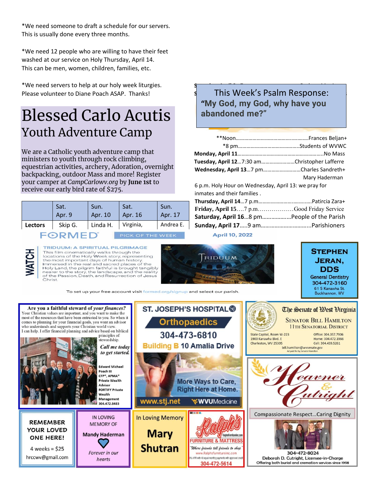\*We need someone to draft a schedule for our servers. This is usually done every three months.

\*We need 12 people who are willing to have their feet washed at our service on Holy Thursday, April 14. This can be men, women, children, families, etc.

\*We need servers to help at our holy week liturgies. Please volunteer to Diane Poach ASAP. Thanks!

# Blessed Carlo Acutis Youth Adventure Camp

We are a Catholic youth adventure camp that ministers to youth through rock climbing, equestrian activities, archery, Adoration, overnight backpacking, outdoor Mass and more! Register your camper at *CampCarlowv.org* by **June 1st** to receive our early bird rate of \$275.

|                | Sat.    | Sun.     | Sat.      | Sun.      |
|----------------|---------|----------|-----------|-----------|
|                | Apr. 9  | Apr. 10  | Apr. 16   | Apr. 17   |
| <b>Lectors</b> | Skip G. | Linda H. | Virginia, | Andrea E. |

RMED<sup>®</sup>

JOK OF THE WEEK Laurie (1970)<br>Laurie (1970)<br>Laurie (1970)



**TRIDUUM: A SPIRITUAL PILGRIMAGE**<br>This film cinematically walks through the<br>locations of the Holy Week story, representing the most important days of human history.<br>Immersed in the real and sacred places of the Holy Land, the pilgrim faithful is brought tangibly<br>nearer to the story, the landscape, and the reality of the Passion, Death, and Resurrection of Jesus Christ.

To set up your free account visit formed.org/signup and select our parish.

## **Saturday, April 9**…7 pm…………………………....Barbara MacAtee+ **s** This Week's Psalm Response:  $\blacksquare$ **"My God, my God, why have you abandoned me?"**

| Tuesday, April 127:30 amChristopher Lafferre         |               |
|------------------------------------------------------|---------------|
| Wednesday, April 137 pmCharles Sandreth+             |               |
|                                                      | Mary Haderman |
| 6 p.m. Holy Hour on Wednesday, April 13: we pray for |               |
| inmates and their families.                          |               |

| Friday, April 157 p.mGood Friday Service   |  |
|--------------------------------------------|--|
| Saturday, April 168 pmPeople of the Parish |  |
|                                            |  |

#### **April 10, 2022**